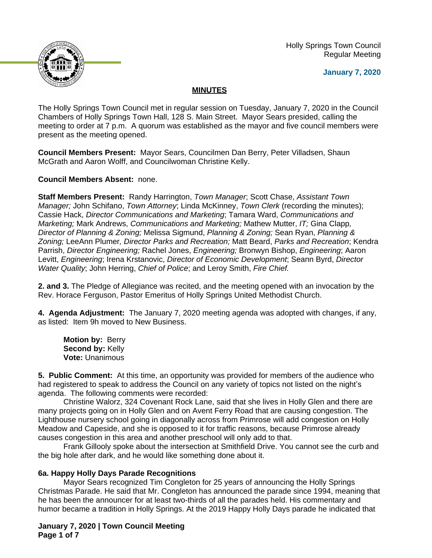

 Holly Springs Town Council Regular Meeting

**January 7, 2020**

# **MINUTES**

The Holly Springs Town Council met in regular session on Tuesday, January 7, 2020 in the Council Chambers of Holly Springs Town Hall, 128 S. Main Street. Mayor Sears presided, calling the meeting to order at 7 p.m. A quorum was established as the mayor and five council members were present as the meeting opened.

**Council Members Present:** Mayor Sears, Councilmen Dan Berry, Peter Villadsen, Shaun McGrath and Aaron Wolff, and Councilwoman Christine Kelly.

**Council Members Absent:** none.

**Staff Members Present:** Randy Harrington, *Town Manager*; Scott Chase, *Assistant Town Manager;* John Schifano, *Town Attorney*; Linda McKinney, *Town Clerk* (recording the minutes); Cassie Hack, *Director Communications and Marketing*; Tamara Ward, *Communications and Marketing;* Mark Andrews, *Communications and Marketing;* Mathew Mutter, *IT;* Gina Clapp*, Director of Planning & Zoning;* Melissa Sigmund, *Planning & Zoning;* Sean Ryan, *Planning & Zoning;* LeeAnn Plumer*, Director Parks and Recreation;* Matt Beard, *Parks and Recreation*; Kendra Parrish, *Director Engineering;* Rachel Jones, *Engineering;* Bronwyn Bishop, *Engineering*; Aaron Levitt, *Engineering*; Irena Krstanovic, *Director of Economic Development*; Seann Byrd, *Director Water Quality*; John Herring, *Chief of Police*; and Leroy Smith, *Fire Chief.*

**2. and 3.** The Pledge of Allegiance was recited, and the meeting opened with an invocation by the Rev. Horace Ferguson, Pastor Emeritus of Holly Springs United Methodist Church.

**4. Agenda Adjustment:** The January 7, 2020 meeting agenda was adopted with changes, if any, as listed: Item 9h moved to New Business.

**Motion by:** Berry **Second by:** Kelly **Vote:** Unanimous

**5. Public Comment:** At this time, an opportunity was provided for members of the audience who had registered to speak to address the Council on any variety of topics not listed on the night's agenda. The following comments were recorded:

Christine Walorz, 324 Covenant Rock Lane, said that she lives in Holly Glen and there are many projects going on in Holly Glen and on Avent Ferry Road that are causing congestion. The Lighthouse nursery school going in diagonally across from Primrose will add congestion on Holly Meadow and Capeside, and she is opposed to it for traffic reasons, because Primrose already causes congestion in this area and another preschool will only add to that.

Frank Gillooly spoke about the intersection at Smithfield Drive. You cannot see the curb and the big hole after dark, and he would like something done about it.

# **6a. Happy Holly Days Parade Recognitions**

Mayor Sears recognized Tim Congleton for 25 years of announcing the Holly Springs Christmas Parade. He said that Mr. Congleton has announced the parade since 1994, meaning that he has been the announcer for at least two-thirds of all the parades held. His commentary and humor became a tradition in Holly Springs. At the 2019 Happy Holly Days parade he indicated that

**January 7, 2020 | Town Council Meeting Page 1 of 7**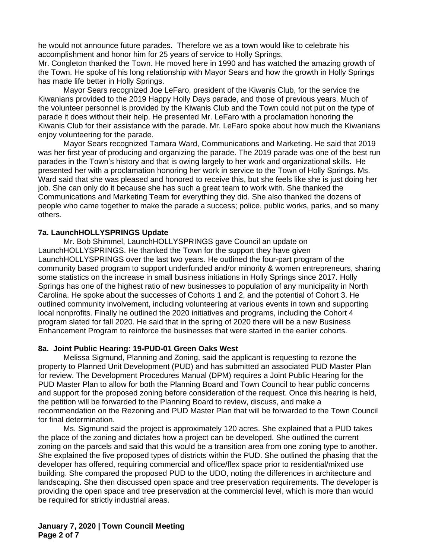he would not announce future parades. Therefore we as a town would like to celebrate his accomplishment and honor him for 25 years of service to Holly Springs.

Mr. Congleton thanked the Town. He moved here in 1990 and has watched the amazing growth of the Town. He spoke of his long relationship with Mayor Sears and how the growth in Holly Springs has made life better in Holly Springs.

Mayor Sears recognized Joe LeFaro, president of the Kiwanis Club, for the service the Kiwanians provided to the 2019 Happy Holly Days parade, and those of previous years. Much of the volunteer personnel is provided by the Kiwanis Club and the Town could not put on the type of parade it does without their help. He presented Mr. LeFaro with a proclamation honoring the Kiwanis Club for their assistance with the parade. Mr. LeFaro spoke about how much the Kiwanians enjoy volunteering for the parade.

Mayor Sears recognized Tamara Ward, Communications and Marketing. He said that 2019 was her first year of producing and organizing the parade. The 2019 parade was one of the best run parades in the Town's history and that is owing largely to her work and organizational skills. He presented her with a proclamation honoring her work in service to the Town of Holly Springs. Ms. Ward said that she was pleased and honored to receive this, but she feels like she is just doing her job. She can only do it because she has such a great team to work with. She thanked the Communications and Marketing Team for everything they did. She also thanked the dozens of people who came together to make the parade a success; police, public works, parks, and so many others.

#### **7a. LaunchHOLLYSPRINGS Update**

Mr. Bob Shimmel, LaunchHOLLYSPRINGS gave Council an update on LaunchHOLLYSPRINGS. He thanked the Town for the support they have given LaunchHOLLYSPRINGS over the last two years. He outlined the four-part program of the community based program to support underfunded and/or minority & women entrepreneurs, sharing some statistics on the increase in small business initiations in Holly Springs since 2017. Holly Springs has one of the highest ratio of new businesses to population of any municipality in North Carolina. He spoke about the successes of Cohorts 1 and 2, and the potential of Cohort 3. He outlined community involvement, including volunteering at various events in town and supporting local nonprofits. Finally he outlined the 2020 initiatives and programs, including the Cohort 4 program slated for fall 2020. He said that in the spring of 2020 there will be a new Business Enhancement Program to reinforce the businesses that were started in the earlier cohorts.

## **8a. Joint Public Hearing: 19-PUD-01 Green Oaks West**

Melissa Sigmund, Planning and Zoning, said the applicant is requesting to rezone the property to Planned Unit Development (PUD) and has submitted an associated PUD Master Plan for review. The Development Procedures Manual (DPM) requires a Joint Public Hearing for the PUD Master Plan to allow for both the Planning Board and Town Council to hear public concerns and support for the proposed zoning before consideration of the request. Once this hearing is held, the petition will be forwarded to the Planning Board to review, discuss, and make a recommendation on the Rezoning and PUD Master Plan that will be forwarded to the Town Council for final determination.

Ms. Sigmund said the project is approximately 120 acres. She explained that a PUD takes the place of the zoning and dictates how a project can be developed. She outlined the current zoning on the parcels and said that this would be a transition area from one zoning type to another. She explained the five proposed types of districts within the PUD. She outlined the phasing that the developer has offered, requiring commercial and office/flex space prior to residential/mixed use building. She compared the proposed PUD to the UDO, noting the differences in architecture and landscaping. She then discussed open space and tree preservation requirements. The developer is providing the open space and tree preservation at the commercial level, which is more than would be required for strictly industrial areas.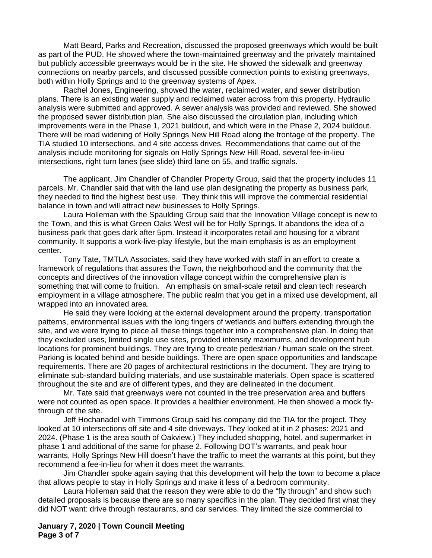Matt Beard, Parks and Recreation, discussed the proposed greenways which would be built as part of the PUD. He showed where the town-maintained greenway and the privately maintained but publicly accessible greenways would be in the site. He showed the sidewalk and greenway connections on nearby parcels, and discussed possible connection points to existing greenways, both within Holly Springs and to the greenway systems of Apex.

Rachel Jones, Engineering, showed the water, reclaimed water, and sewer distribution plans. There is an existing water supply and reclaimed water across from this property. Hydraulic analysis were submitted and approved. A sewer analysis was provided and reviewed. She showed the proposed sewer distribution plan. She also discussed the circulation plan, including which improvements were in the Phase 1, 2021 buildout, and which were in the Phase 2, 2024 buildout. There will be road widening of Holly Springs New Hill Road along the frontage of the property. The TIA studied 10 intersections, and 4 site access drives. Recommendations that came out of the analysis include monitoring for signals on Holly Springs New Hill Road, several fee-in-lieu intersections, right turn lanes (see slide) third lane on 55, and traffic signals.

The applicant, Jim Chandler of Chandler Property Group, said that the property includes 11 parcels. Mr. Chandler said that with the land use plan designating the property as business park, they needed to find the highest best use. They think this will improve the commercial residential balance in town and will attract new businesses to Holly Springs.

Laura Holleman with the Spaulding Group said that the Innovation Village concept is new to the Town, and this is what Green Oaks West will be for Holly Springs. It abandons the idea of a business park that goes dark after 5pm. Instead it incorporates retail and housing for a vibrant community. It supports a work-live-play lifestyle, but the main emphasis is as an employment center.

Tony Tate, TMTLA Associates, said they have worked with staff in an effort to create a framework of regulations that assures the Town, the neighborhood and the community that the concepts and directives of the innovation village concept within the comprehensive plan is something that will come to fruition. An emphasis on small-scale retail and clean tech research employment in a village atmosphere. The public realm that you get in a mixed use development, all wrapped into an innovated area.

He said they were looking at the external development around the property, transportation patterns, environmental issues with the long fingers of wetlands and buffers extending through the site, and we were trying to piece all these things together into a comprehensive plan. In doing that they excluded uses, limited single use sites, provided intensity maximums, and development hub locations for prominent buildings. They are trying to create pedestrian / human scale on the street. Parking is located behind and beside buildings. There are open space opportunities and landscape requirements. There are 20 pages of architectural restrictions in the document. They are trying to eliminate sub-standard building materials, and use sustainable materials. Open space is scattered throughout the site and are of different types, and they are delineated in the document.

Mr. Tate said that greenways were not counted in the tree preservation area and buffers were not counted as open space. It provides a healthier environment. He then showed a mock flythrough of the site.

Jeff Hochanadel with Timmons Group said his company did the TIA for the project. They looked at 10 intersections off site and 4 site driveways. They looked at it in 2 phases: 2021 and 2024. (Phase 1 is the area south of Oakview.) They included shopping, hotel, and supermarket in phase 1 and additional of the same for phase 2. Following DOT's warrants, and peak hour warrants, Holly Springs New Hill doesn't have the traffic to meet the warrants at this point, but they recommend a fee-in-lieu for when it does meet the warrants.

Jim Chandler spoke again saying that this development will help the town to become a place that allows people to stay in Holly Springs and make it less of a bedroom community.

Laura Holleman said that the reason they were able to do the "fly through" and show such detailed proposals is because there are so many specifics in the plan. They decided first what they did NOT want: drive through restaurants, and car services. They limited the size commercial to

**January 7, 2020 | Town Council Meeting Page 3 of 7**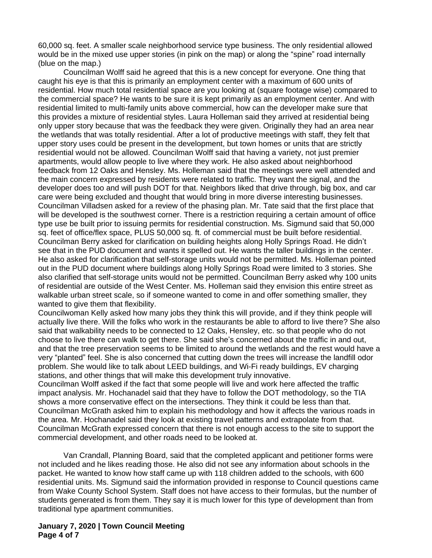60,000 sq. feet. A smaller scale neighborhood service type business. The only residential allowed would be in the mixed use upper stories (in pink on the map) or along the "spine" road internally (blue on the map.)

Councilman Wolff said he agreed that this is a new concept for everyone. One thing that caught his eye is that this is primarily an employment center with a maximum of 600 units of residential. How much total residential space are you looking at (square footage wise) compared to the commercial space? He wants to be sure it is kept primarily as an employment center. And with residential limited to multi-family units above commercial, how can the developer make sure that this provides a mixture of residential styles. Laura Holleman said they arrived at residential being only upper story because that was the feedback they were given. Originally they had an area near the wetlands that was totally residential. After a lot of productive meetings with staff, they felt that upper story uses could be present in the development, but town homes or units that are strictly residential would not be allowed. Councilman Wolff said that having a variety, not just premier apartments, would allow people to live where they work. He also asked about neighborhood feedback from 12 Oaks and Hensley. Ms. Holleman said that the meetings were well attended and the main concern expressed by residents were related to traffic. They want the signal, and the developer does too and will push DOT for that. Neighbors liked that drive through, big box, and car care were being excluded and thought that would bring in more diverse interesting businesses. Councilman Villadsen asked for a review of the phasing plan. Mr. Tate said that the first place that will be developed is the southwest corner. There is a restriction requiring a certain amount of office type use be built prior to issuing permits for residential construction. Ms. Sigmund said that 50,000 sq. feet of office/flex space, PLUS 50,000 sq. ft. of commercial must be built before residential. Councilman Berry asked for clarification on building heights along Holly Springs Road. He didn't see that in the PUD document and wants it spelled out. He wants the taller buildings in the center. He also asked for clarification that self-storage units would not be permitted. Ms. Holleman pointed out in the PUD document where buildings along Holly Springs Road were limited to 3 stories. She also clarified that self-storage units would not be permitted. Councilman Berry asked why 100 units of residential are outside of the West Center. Ms. Holleman said they envision this entire street as walkable urban street scale, so if someone wanted to come in and offer something smaller, they wanted to give them that flexibility.

Councilwoman Kelly asked how many jobs they think this will provide, and if they think people will actually live there. Will the folks who work in the restaurants be able to afford to live there? She also said that walkability needs to be connected to 12 Oaks, Hensley, etc. so that people who do not choose to live there can walk to get there. She said she's concerned about the traffic in and out, and that the tree preservation seems to be limited to around the wetlands and the rest would have a very "planted" feel. She is also concerned that cutting down the trees will increase the landfill odor problem. She would like to talk about LEED buildings, and Wi-Fi ready buildings, EV charging stations, and other things that will make this development truly innovative.

Councilman Wolff asked if the fact that some people will live and work here affected the traffic impact analysis. Mr. Hochanadel said that they have to follow the DOT methodology, so the TIA shows a more conservative effect on the intersections. They think it could be less than that. Councilman McGrath asked him to explain his methodology and how it affects the various roads in the area. Mr. Hochanadel said they look at existing travel patterns and extrapolate from that. Councilman McGrath expressed concern that there is not enough access to the site to support the commercial development, and other roads need to be looked at.

Van Crandall, Planning Board, said that the completed applicant and petitioner forms were not included and he likes reading those. He also did not see any information about schools in the packet. He wanted to know how staff came up with 118 children added to the schools, with 600 residential units. Ms. Sigmund said the information provided in response to Council questions came from Wake County School System. Staff does not have access to their formulas, but the number of students generated is from them. They say it is much lower for this type of development than from traditional type apartment communities.

#### **January 7, 2020 | Town Council Meeting Page 4 of 7**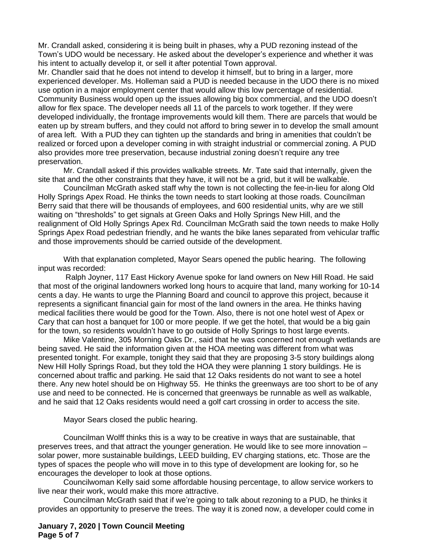Mr. Crandall asked, considering it is being built in phases, why a PUD rezoning instead of the Town's UDO would be necessary. He asked about the developer's experience and whether it was his intent to actually develop it, or sell it after potential Town approval.

Mr. Chandler said that he does not intend to develop it himself, but to bring in a larger, more experienced developer. Ms. Holleman said a PUD is needed because in the UDO there is no mixed use option in a major employment center that would allow this low percentage of residential. Community Business would open up the issues allowing big box commercial, and the UDO doesn't allow for flex space. The developer needs all 11 of the parcels to work together. If they were developed individually, the frontage improvements would kill them. There are parcels that would be eaten up by stream buffers, and they could not afford to bring sewer in to develop the small amount of area left. With a PUD they can tighten up the standards and bring in amenities that couldn't be realized or forced upon a developer coming in with straight industrial or commercial zoning. A PUD also provides more tree preservation, because industrial zoning doesn't require any tree preservation.

Mr. Crandall asked if this provides walkable streets. Mr. Tate said that internally, given the site that and the other constraints that they have, it will not be a grid, but it will be walkable.

Councilman McGrath asked staff why the town is not collecting the fee-in-lieu for along Old Holly Springs Apex Road. He thinks the town needs to start looking at those roads. Councilman Berry said that there will be thousands of employees, and 600 residential units, why are we still waiting on "thresholds" to get signals at Green Oaks and Holly Springs New Hill, and the realignment of Old Holly Springs Apex Rd. Councilman McGrath said the town needs to make Holly Springs Apex Road pedestrian friendly, and he wants the bike lanes separated from vehicular traffic and those improvements should be carried outside of the development.

With that explanation completed, Mayor Sears opened the public hearing. The following input was recorded:

 Ralph Joyner, 117 East Hickory Avenue spoke for land owners on New Hill Road. He said that most of the original landowners worked long hours to acquire that land, many working for 10-14 cents a day. He wants to urge the Planning Board and council to approve this project, because it represents a significant financial gain for most of the land owners in the area. He thinks having medical facilities there would be good for the Town. Also, there is not one hotel west of Apex or Cary that can host a banquet for 100 or more people. If we get the hotel, that would be a big gain for the town, so residents wouldn't have to go outside of Holly Springs to host large events.

Mike Valentine, 305 Morning Oaks Dr., said that he was concerned not enough wetlands are being saved. He said the information given at the HOA meeting was different from what was presented tonight. For example, tonight they said that they are proposing 3-5 story buildings along New Hill Holly Springs Road, but they told the HOA they were planning 1 story buildings. He is concerned about traffic and parking. He said that 12 Oaks residents do not want to see a hotel there. Any new hotel should be on Highway 55. He thinks the greenways are too short to be of any use and need to be connected. He is concerned that greenways be runnable as well as walkable, and he said that 12 Oaks residents would need a golf cart crossing in order to access the site.

Mayor Sears closed the public hearing.

Councilman Wolff thinks this is a way to be creative in ways that are sustainable, that preserves trees, and that attract the younger generation. He would like to see more innovation – solar power, more sustainable buildings, LEED building, EV charging stations, etc. Those are the types of spaces the people who will move in to this type of development are looking for, so he encourages the developer to look at those options.

Councilwoman Kelly said some affordable housing percentage, to allow service workers to live near their work, would make this more attractive.

Councilman McGrath said that if we're going to talk about rezoning to a PUD, he thinks it provides an opportunity to preserve the trees. The way it is zoned now, a developer could come in

**January 7, 2020 | Town Council Meeting Page 5 of 7**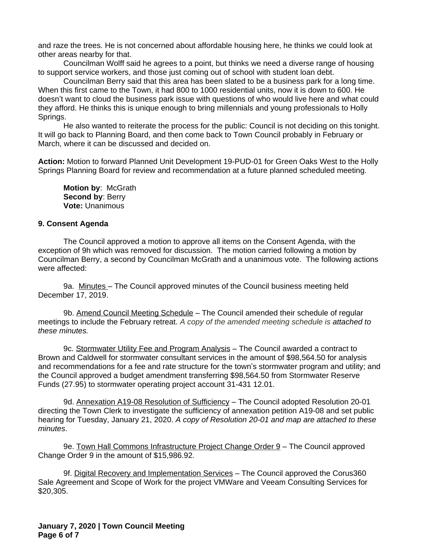and raze the trees. He is not concerned about affordable housing here, he thinks we could look at other areas nearby for that.

Councilman Wolff said he agrees to a point, but thinks we need a diverse range of housing to support service workers, and those just coming out of school with student loan debt.

Councilman Berry said that this area has been slated to be a business park for a long time. When this first came to the Town, it had 800 to 1000 residential units, now it is down to 600. He doesn't want to cloud the business park issue with questions of who would live here and what could they afford. He thinks this is unique enough to bring millennials and young professionals to Holly Springs.

He also wanted to reiterate the process for the public: Council is not deciding on this tonight. It will go back to Planning Board, and then come back to Town Council probably in February or March, where it can be discussed and decided on.

**Action:** Motion to forward Planned Unit Development 19-PUD-01 for Green Oaks West to the Holly Springs Planning Board for review and recommendation at a future planned scheduled meeting.

**Motion by**: McGrath **Second by**: Berry **Vote:** Unanimous

#### **9. Consent Agenda**

The Council approved a motion to approve all items on the Consent Agenda, with the exception of 9h which was removed for discussion. The motion carried following a motion by Councilman Berry, a second by Councilman McGrath and a unanimous vote. The following actions were affected:

9a. Minutes - The Council approved minutes of the Council business meeting held December 17, 2019.

9b. Amend Council Meeting Schedule – The Council amended their schedule of regular meetings to include the February retreat. *A copy of the amended meeting schedule is attached to these minutes.* 

9c. Stormwater Utility Fee and Program Analysis - The Council awarded a contract to Brown and Caldwell for stormwater consultant services in the amount of \$98,564.50 for analysis and recommendations for a fee and rate structure for the town's stormwater program and utility; and the Council approved a budget amendment transferring \$98,564.50 from Stormwater Reserve Funds (27.95) to stormwater operating project account 31-431 12.01.

9d. Annexation A19-08 Resolution of Sufficiency - The Council adopted Resolution 20-01 directing the Town Clerk to investigate the sufficiency of annexation petition A19-08 and set public hearing for Tuesday, January 21, 2020. *A copy of Resolution 20-01 and map are attached to these minutes*.

9e. Town Hall Commons Infrastructure Project Change Order 9 – The Council approved Change Order 9 in the amount of \$15,986.92.

9f. Digital Recovery and Implementation Services – The Council approved the Corus360 Sale Agreement and Scope of Work for the project VMWare and Veeam Consulting Services for \$20,305.

**January 7, 2020 | Town Council Meeting Page 6 of 7**